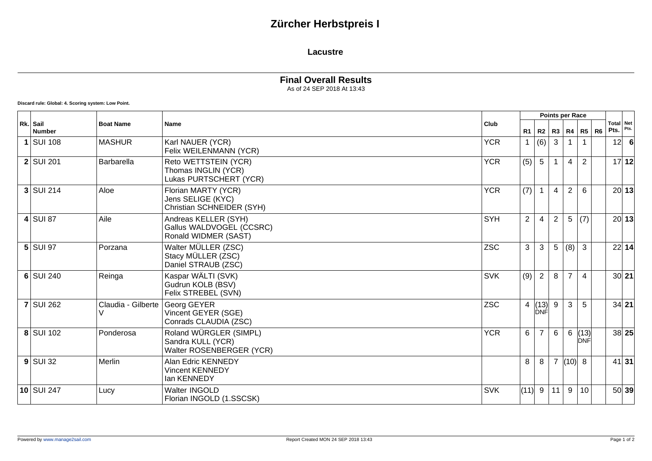## **Zürcher Herbstpreis I**

#### **Lacustre**

### **Final Overall Results**

As of 24 SEP 2018 At 13:43

**Discard rule: Global: 4. Scoring system: Low Point.**

| Rk. Sail<br><b>Number</b> | <b>Boat Name</b>   | <b>Name</b>                                                              | Club       |                |                        |                | Points per Race |                    |                |                   |         |
|---------------------------|--------------------|--------------------------------------------------------------------------|------------|----------------|------------------------|----------------|-----------------|--------------------|----------------|-------------------|---------|
|                           |                    |                                                                          |            | R1             | R2                     |                |                 | R3   R4   R5       | R <sub>6</sub> | Total Net<br>Pts. | Pts.    |
| $1$ SUI 108               | <b>MASHUR</b>      | Karl NAUER (YCR)<br>Felix WEILENMANN (YCR)                               | <b>YCR</b> | $\mathbf{1}$   | (6)                    | 3              |                 |                    |                | 12                | - 6     |
| $2$ SUI 201               | Barbarella         | Reto WETTSTEIN (YCR)<br>Thomas INGLIN (YCR)<br>Lukas PURTSCHERT (YCR)    | <b>YCR</b> | (5)            | $5\overline{)}$        |                | $\overline{4}$  | 2                  |                |                   | 17 12   |
| $3$ SUI 214               | Aloe               | Florian MARTY (YCR)<br>Jens SELIGE (KYC)<br>Christian SCHNEIDER (SYH)    | <b>YCR</b> | (7)            | $\mathbf{1}$           | $\overline{4}$ | $\overline{2}$  | 6                  |                |                   | 20 13   |
| $4$ SUI 87                | Aile               | Andreas KELLER (SYH)<br>Gallus WALDVOGEL (CCSRC)<br>Ronald WIDMER (SAST) | <b>SYH</b> | $\overline{2}$ | 4                      | $\overline{2}$ | 5               | (7)                |                |                   | 20 13   |
| $5$ SUI 97                | Porzana            | Walter MÜLLER (ZSC)<br>Stacy MÜLLER (ZSC)<br>Daniel STRAUB (ZSC)         | <b>ZSC</b> | 3              | 3                      | 5              | (8)             | 3                  |                |                   | 22 14   |
| $6$ SUI 240               | Reinga             | Kaspar WÄLTI (SVK)<br>Gudrun KOLB (BSV)<br>Felix STREBEL (SVN)           | <b>SVK</b> | (9)            | $\overline{2}$         | 8              | $\overline{7}$  | $\overline{4}$     |                |                   | 30 21   |
| $7$ SUI 262               | Claudia - Gilberte | Georg GEYER<br>Vincent GEYER (SGE)<br>Conrads CLAUDIA (ZSC)              | <b>ZSC</b> |                | 4   (13)<br><b>DNF</b> | 9              | 3               | 5                  |                |                   | $34$ 21 |
| 8 SUI 102                 | Ponderosa          | Roland WÜRGLER (SIMPL)<br>Sandra KULL (YCR)<br>Walter ROSENBERGER (YCR)  | <b>YCR</b> | 6              | $\overline{7}$         | 6              | 6               | (13)<br><b>DNF</b> |                |                   | 38 25   |
| $9$ SUI 32                | Merlin             | Alan Edric KENNEDY<br><b>Vincent KENNEDY</b><br>lan KENNEDY              |            | 8              | 8                      | $\overline{7}$ | (10)            | 8                  |                |                   | 41 31   |
| $10$ SUI 247              | Lucy               | Walter INGOLD<br>Florian INGOLD (1.SSCSK)                                | <b>SVK</b> | $(11)$ 9       |                        | 11             | 9               | 10                 |                |                   | 50 39   |